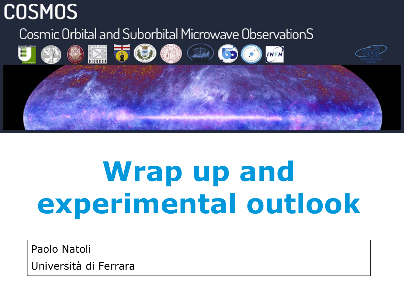## **COSMOS**

Cosmic Orbital and Suborbital Microwave ObservationS



# **Wrap up and experimental outlook**

Paolo Natoli Università di Ferrara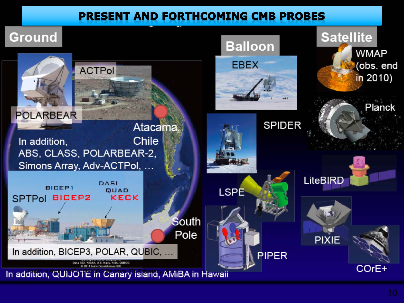#### **PRESENT AND FORTHCOMING CMB PROBES**

## **Ground**

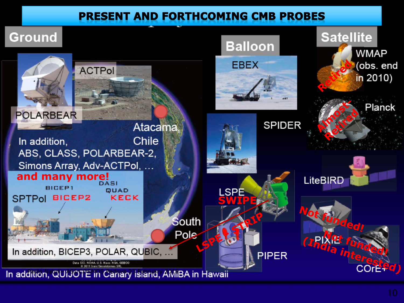#### **PRESENT AND FORTHCOMING CMB PROBES**

## **Ground**

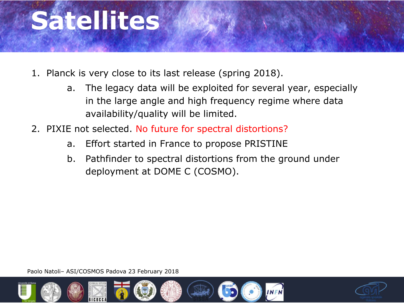

- 1. Planck is very close to its last release (spring 2018).
	- a. The legacy data will be exploited for several year, especially in the large angle and high frequency regime where data availability/quality will be limited.
- 2. PIXIE not selected. No future for spectral distortions?
	- a. Effort started in France to propose PRISTINE
	- b. Pathfinder to spectral distortions from the ground under deployment at DOME C (COSMO).



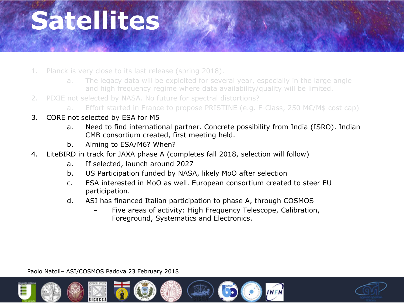

- 1. Planck is very close to its last release (spring 2018).
	- a. The legacy data will be exploited for several year, especially in the large angle and high frequency regime where data availability/quality will be limited.
- 2. PIXIE not selected by NASA. No future for spectral distortions?
	- a. Effort started in France to propose PRISTINE (e.g. F-Class, 250 M€/M\$ cost cap)
- 3. CORE not selected by ESA for M5
	- a. Need to find international partner. Concrete possibility from India (ISRO). Indian CMB consortium created, first meeting held.
	- b. Aiming to ESA/M6? When?
- 4. LiteBIRD in track for JAXA phase A (completes fall 2018, selection will follow)
	- a. If selected, launch around 2027
	- b. US Participation funded by NASA, likely MoO after selection
	- c. ESA interested in MoO as well. European consortium created to steer EU participation.
	- d. ASI has financed Italian participation to phase A, through COSMOS
		- Five areas of activity: High Frequency Telescope, Calibration, Foreground, Systematics and Electronics.

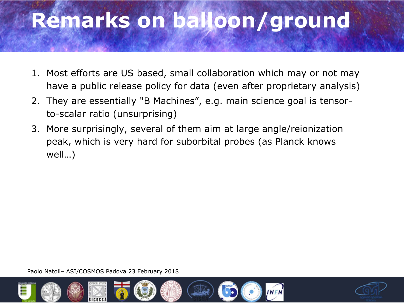# **Remarks on balloon/ground**

- 1. Most efforts are US based, small collaboration which may or not may have a public release policy for data (even after proprietary analysis)
- 2. They are essentially "B Machines", e.g. main science goal is tensorto-scalar ratio (unsurprising)
- 3. More surprisingly, several of them aim at large angle/reionization peak, which is very hard for suborbital probes (as Planck knows well…)



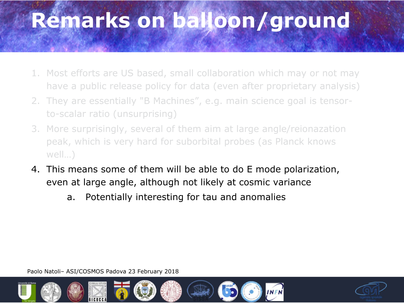# **Remarks on balloon/ground**

- 1. Most efforts are US based, small collaboration which may or not may have a public release policy for data (even after proprietary analysis)
- 2. They are essentially "B Machines", e.g. main science goal is tensorto-scalar ratio (unsurprising)
- 3. More surprisingly, several of them aim at large angle/reionazation peak, which is very hard for suborbital probes (as Planck knows well…)
- 4. This means some of them will be able to do E mode polarization, even at large angle, although not likely at cosmic variance
	- a. Potentially interesting for tau and anomalies



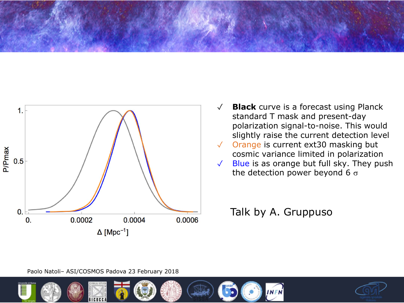



- ✓ **Black** curve is a forecast using Planck standard T mask and present-day polarization signal-to-noise. This would slightly raise the current detection level
- Orange is current ext30 masking but cosmic variance limited in polarization
- ✓ Blue is as orange but full sky. They push the detection power beyond 6  $\sigma$

#### Talk by A. Gruppuso



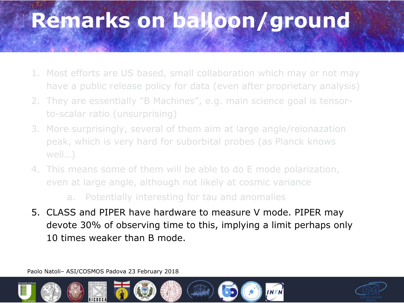# **Remarks on balloon/ground**

- 1. Most efforts are US based, small collaboration which may or not may have a public release policy for data (even after proprietary analysis)
- 2. They are essentially "B Machines", e.g. main science goal is tensorto-scalar ratio (unsurprising)
- 3. More surprisingly, several of them aim at large angle/reionazation peak, which is very hard for suborbital probes (as Planck knows well…)
- 4. This means some of them will be able to do E mode polarization, even at large angle, although not likely at cosmic variance

a. Potentially interesting for tau and anomalies

5. CLASS and PIPER have hardware to measure V mode. PIPER may devote 30% of observing time to this, implying a limit perhaps only 10 times weaker than B mode.